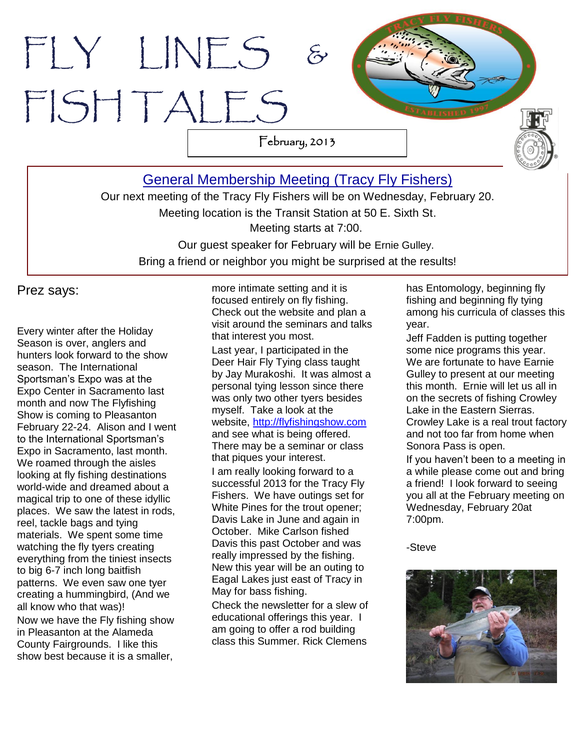# FLY LINES FISH TALES February, 2013

[General Membership Meeting](http://www.tracyflyfishers.org/Home/current-activities) (Tracy Fly Fishers)

Our next meeting of the Tracy Fly Fishers will be on Wednesday, February 20. Meeting location is the Transit Station at 50 E. Sixth St. Meeting starts at 7:00. Our guest speaker for February will be Ernie Gulley. Bring a friend or neighbor you might be surprised at the results!

Prez says:

Every winter after the Holiday Season is over, anglers and hunters look forward to the show season. The International Sportsman's Expo was at the Expo Center in Sacramento last month and now The Flyfishing Show is coming to Pleasanton February 22-24. Alison and I went to the International Sportsman's Expo in Sacramento, last month. We roamed through the aisles looking at fly fishing destinations world-wide and dreamed about a magical trip to one of these idyllic places. We saw the latest in rods, reel, tackle bags and tying materials. We spent some time watching the fly tyers creating everything from the tiniest insects to big 6-7 inch long baitfish patterns. We even saw one tyer creating a hummingbird, (And we all know who that was)! Now we have the Fly fishing show in Pleasanton at the Alameda County Fairgrounds. I like this show best because it is a smaller,

. more intimate setting and it is focused entirely on fly fishing. Check out the website and plan a visit around the seminars and talks that interest you most.

Last year, I participated in the Deer Hair Fly Tying class taught by Jay Murakoshi. It was almost a personal tying lesson since there was only two other tyers besides myself. Take a look at the website, [http://flyfishingshow.com](http://flyfishingshow.com/) and see what is being offered. There may be a seminar or class that piques your interest.

I am really looking forward to a successful 2013 for the Tracy Fly Fishers. We have outings set for White Pines for the trout opener; Davis Lake in June and again in October. Mike Carlson fished Davis this past October and was really impressed by the fishing. New this year will be an outing to Eagal Lakes just east of Tracy in May for bass fishing.

Check the newsletter for a slew of educational offerings this year. I am going to offer a rod building class this Summer. Rick Clemens

has Entomology, beginning fly fishing and beginning fly tying among his curricula of classes this year.

Jeff Fadden is putting together some nice programs this year. We are fortunate to have Earnie Gulley to present at our meeting this month. Ernie will let us all in on the secrets of fishing Crowley Lake in the Eastern Sierras. Crowley Lake is a real trout factory and not too far from home when Sonora Pass is open.

If you haven't been to a meeting in a while please come out and bring a friend! I look forward to seeing you all at the February meeting on Wednesday, February 20at 7:00pm.

-Steve

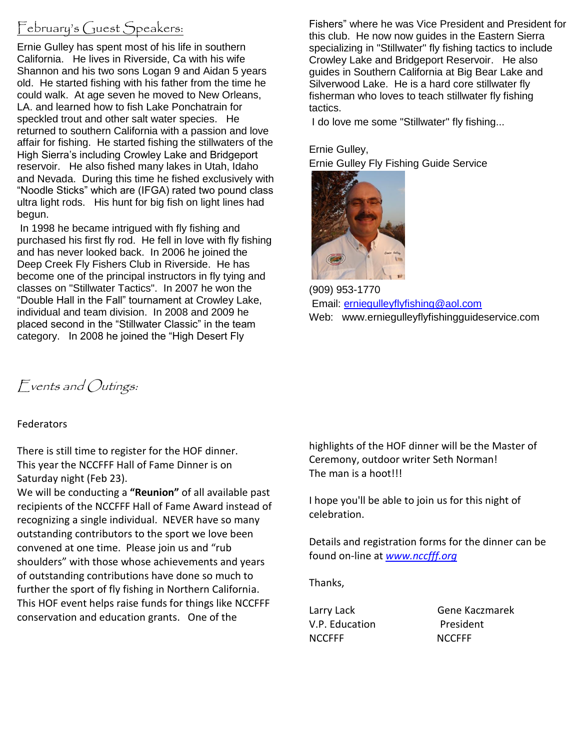# February's Guest Speakers:

Ernie Gulley has spent most of his life in southern California. He lives in Riverside, Ca with his wife Shannon and his two sons Logan 9 and Aidan 5 years old. He started fishing with his father from the time he could walk. At age seven he moved to New Orleans, LA. and learned how to fish Lake Ponchatrain for speckled trout and other salt water species. He returned to southern California with a passion and love affair for fishing. He started fishing the stillwaters of the High Sierra's including Crowley Lake and Bridgeport reservoir. He also fished many lakes in Utah, Idaho and Nevada. During this time he fished exclusively with "Noodle Sticks" which are (IFGA) rated two pound class ultra light rods. His hunt for big fish on light lines had begun.

In 1998 he became intrigued with fly fishing and purchased his first fly rod. He fell in love with fly fishing and has never looked back. In 2006 he joined the Deep Creek Fly Fishers Club in Riverside. He has become one of the principal instructors in fly tying and classes on "Stillwater Tactics". In 2007 he won the "Double Hall in the Fall" tournament at Crowley Lake, individual and team division. In 2008 and 2009 he placed second in the "Stillwater Classic" in the team category. In 2008 he joined the "High Desert Fly

Fishers" where he was Vice President and President for this club. He now now guides in the Eastern Sierra specializing in "Stillwater" fly fishing tactics to include Crowley Lake and Bridgeport Reservoir. He also guides in Southern California at Big Bear Lake and Silverwood Lake. He is a hard core stillwater fly fisherman who loves to teach stillwater fly fishing tactics.

I do love me some "Stillwater" fly fishing...

Ernie Gulley,

Ernie Gulley Fly Fishing Guide Service



(909) 953-1770 Email: [erniegulleyflyfishing@aol.com](mailto:erniegulleyflyfishing@aol.com) Web: www.erniegulleyflyfishingguideservice.com

Events and Outings:

#### **Federators**

There is still time to register for the HOF dinner. This year the NCCFFF Hall of Fame Dinner is on Saturday night (Feb 23).

We will be conducting a **"Reunion"** of all available past recipients of the NCCFFF Hall of Fame Award instead of recognizing a single individual. NEVER have so many outstanding contributors to the sport we love been convened at one time. Please join us and "rub shoulders" with those whose achievements and years of outstanding contributions have done so much to further the sport of fly fishing in Northern California. This HOF event helps raise funds for things like NCCFFF conservation and education grants. One of the

highlights of the HOF dinner will be the Master of Ceremony, outdoor writer Seth Norman! The man is a hoot!!!

I hope you'll be able to join us for this night of celebration.

Details and registration forms for the dinner can be found on-line at *[www.nccfff.org](http://www.nccfff.org/)*

Thanks,

V.P. Education President NCCFFF NCCFFF

Larry Lack Gene Kaczmarek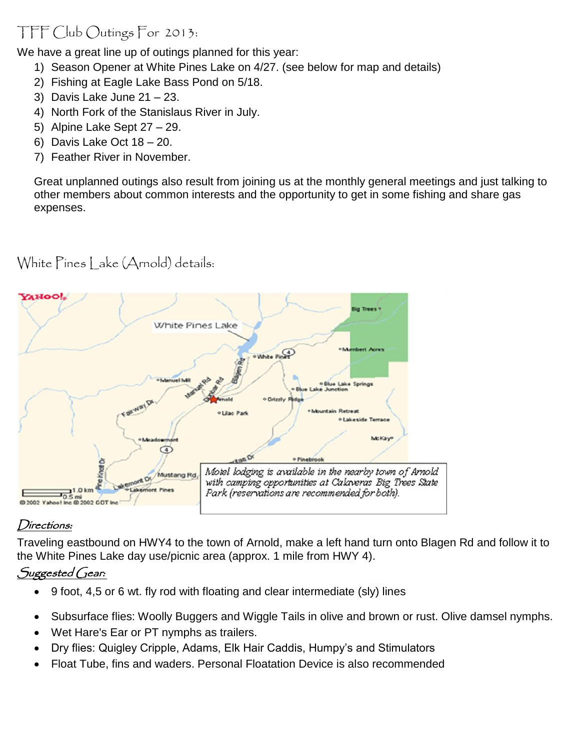# TFF Club Outings For 2013:

We have a great line up of outings planned for this year:

- 1) Season Opener at White Pines Lake on 4/27. (see below for map and details)
- 2) Fishing at Eagle Lake Bass Pond on 5/18.
- 3) Davis Lake June 21 23.
- 4) North Fork of the Stanislaus River in July.
- 5) Alpine Lake Sept 27 29.
- 6) Davis Lake Oct 18 20.
- 7) Feather River in November.

Great unplanned outings also result from joining us at the monthly general meetings and just talking to other members about common interests and the opportunity to get in some fishing and share gas expenses.



White Pines Lake (Arnold) details:

## Directions:

Traveling eastbound on HWY4 to the town of Arnold, make a left hand turn onto Blagen Rd and follow it to the White Pines Lake day use/picnic area (approx. 1 mile from HWY 4).

## Suggested Gear:

- 9 foot, 4,5 or 6 wt. fly rod with floating and clear intermediate (sly) lines
- Subsurface flies: Woolly Buggers and Wiggle Tails in olive and brown or rust. Olive damsel nymphs.
- Wet Hare's Ear or PT nymphs as trailers.
- Dry flies: Quigley Cripple, Adams, Elk Hair Caddis, Humpy's and Stimulators
- Float Tube, fins and waders. Personal Floatation Device is also recommended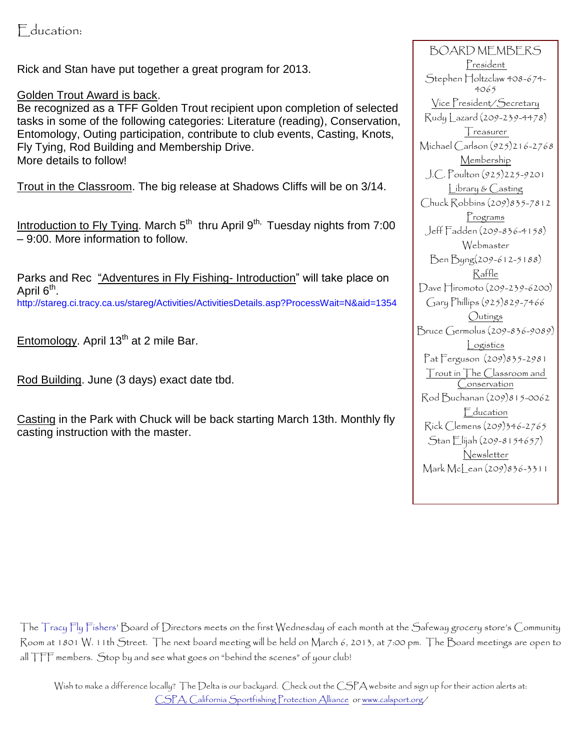Education:

Rick and Stan have put together a great program for 2013.

Golden Trout Award is back.

Be recognized as a TFF Golden Trout recipient upon completion of selected tasks in some of the following categories: Literature (reading), Conservation, Entomology, Outing participation, contribute to club events, Casting, Knots, Fly Tying, Rod Building and Membership Drive. More details to follow!

Trout in the Classroom. The big release at Shadows Cliffs will be on 3/14.

Introduction to Fly Tying. March  $5<sup>th</sup>$  thru April  $9<sup>th</sup>$ , Tuesday nights from 7:00 – 9:00. More information to follow.

Parks and Rec "Adventures in Fly Fishing- Introduction" will take place on April 6<sup>th</sup>. http://stareg.ci.tracy.ca.us/stareg/Activities/ActivitiesDetails.asp?ProcessWait=N&aid=1354

Entomology. April 13<sup>th</sup> at 2 mile Bar.

Rod Building. June (3 days) exact date tbd.

Casting in the Park with Chuck will be back starting March 13th. Monthly fly casting instruction with the master.

BOARD MEMBERS President Stephen Holtzclaw 408-674-4065 Vice President/Secretary Rudy Lazard (209-239-4478) Treasurer Michael Carlson (925)216-2768 Membership J.C. Poulton (925)225-9201 Library & Casting Chuck Robbins (209)835-7812 Programs Jeff Fadden (209-836-4158) Webmaster Ben Byng(209-612-5188) Raffle Dave Hiromoto (209-239-6200) Gary Phillips (925)829-7466 **Outings** Bruce Germolus (209-836-9089) Logistics Pat Ferguson (209)835-2981 Trout in The Classroom and Conservation Rod Buchanan (209)815-0062 Education Rick Clemens (209)346-2765 Stan Elijah (209-8154657) **Newsletter** Mark McLean (209)836-3311

The Tracy Fly Fishers' Board of Directors meets on the first Wednesday of each month at the Safeway grocery store's Community Room at 1801 W. 11th Street. The next board meeting will be held on March 6, 2013, at 7:00 pm. The Board meetings are open to all TFF members. Stop by and see what goes on "behind the scenes" of your club!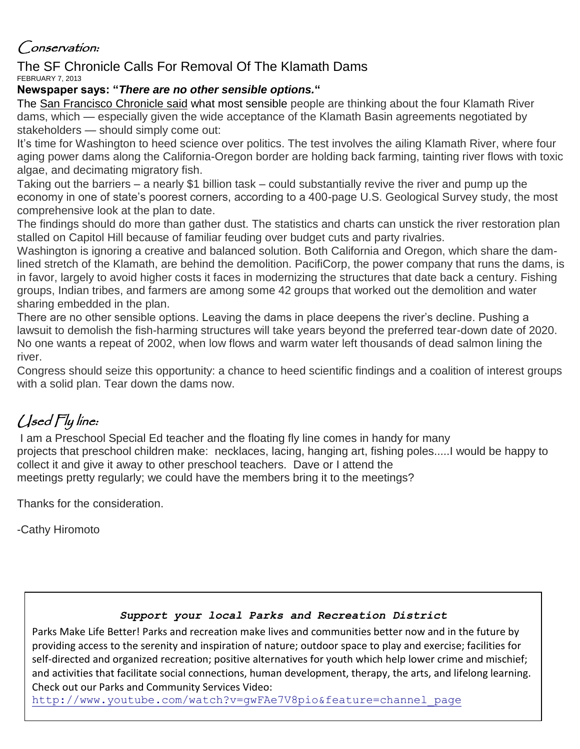# Conservation:

#### The SF Chronicle Calls For Removal Of The Klamath Dams FEBRUARY 7, 2013

### **Newspaper says: "***There are no other sensible options.***"**

The [San Francisco Chronicle said](http://www.sfgate.com/opinion/editorials/article/Congress-must-vote-to-save-the-Klamath-4254193.php#ixzz2KFWlFpcT) what most sensible people are thinking about the four Klamath River dams, which — especially given the wide acceptance of the Klamath Basin agreements negotiated by stakeholders — should simply come out:

It's time for Washington to heed science over politics. The test involves the ailing Klamath River, where four aging power dams along the California-Oregon border are holding back farming, tainting river flows with toxic algae, and decimating migratory fish.

Taking out the barriers – a nearly \$1 billion task – could substantially revive the river and pump up the economy in one of state's poorest corners, according to a 400-page U.S. Geological Survey study, the most comprehensive look at the plan to date.

The findings should do more than gather dust. The statistics and charts can unstick the river restoration plan stalled on Capitol Hill because of familiar feuding over budget cuts and party rivalries.

Washington is ignoring a creative and balanced solution. Both California and Oregon, which share the damlined stretch of the Klamath, are behind the demolition. PacifiCorp, the power company that runs the dams, is in favor, largely to avoid higher costs it faces in modernizing the structures that date back a century. Fishing groups, Indian tribes, and farmers are among some 42 groups that worked out the demolition and water sharing embedded in the plan.

There are no other sensible options. Leaving the dams in place deepens the river's decline. Pushing a lawsuit to demolish the fish-harming structures will take years beyond the preferred tear-down date of 2020. No one wants a repeat of 2002, when low flows and warm water left thousands of dead salmon lining the river.

Congress should seize this opportunity: a chance to heed scientific findings and a coalition of interest groups with a solid plan. Tear down the dams now.

# Used Fly line:

I am a Preschool Special Ed teacher and the floating fly line comes in handy for many projects that preschool children make: necklaces, lacing, hanging art, fishing poles.....I would be happy to collect it and give it away to other preschool teachers. Dave or I attend the meetings pretty regularly; we could have the members bring it to the meetings?

Thanks for the consideration.

-Cathy Hiromoto

#### *Support your local Parks and Recreation District*

Parks Make Life Better! Parks and recreation make lives and communities better now and in the future by providing access to the serenity and inspiration of nature; outdoor space to play and exercise; facilities for self-directed and organized recreation; positive alternatives for youth which help lower crime and mischief; and activities that facilitate social connections, human development, therapy, the arts, and lifelong learning. Check out our Parks and Community Services Video:

[http://www.youtube.com/watch?v=gwFAe7V8pio&feature=channel\\_page](http://www.youtube.com/watch?v=gwFAe7V8pio&feature=channel_page)